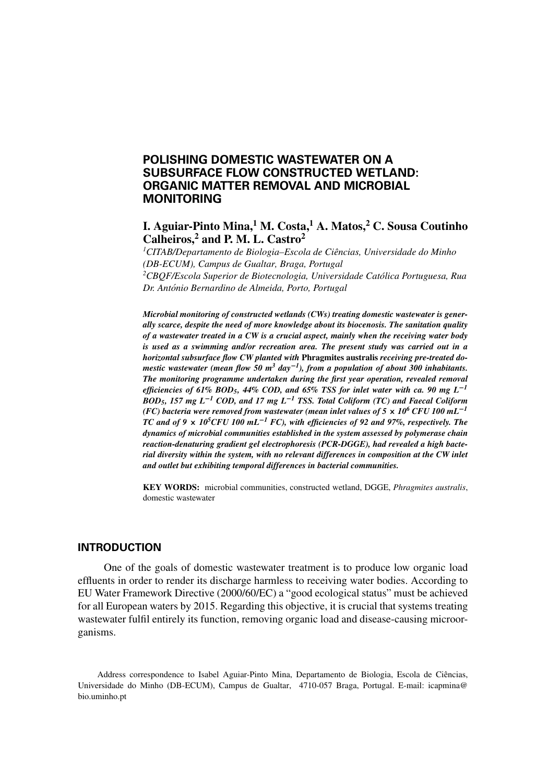# **POLISHING DOMESTIC WASTEWATER ON A SUBSURFACE FLOW CONSTRUCTED WETLAND: ORGANIC MATTER REMOVAL AND MICROBIAL MONITORING**

# **I. Aguiar-Pinto Mina,1 M. Costa,1 A. Matos,2 C. Sousa Coutinho Calheiros,2 and P. M. L. Castro<sup>2</sup>**

<sup>1</sup> CITAB/Departamento de Biologia–Escola de Ciências, Universidade do Minho *(DB-ECUM), Campus de Gualtar, Braga, Portugal 2 CBQF/Escola Superior de Biotecnologia, Universidade Catolica Portuguesa, Rua ´ Dr. Antonio Bernardino de Almeida, Porto, Portugal ´*

*Microbial monitoring of constructed wetlands (CWs) treating domestic wastewater is generally scarce, despite the need of more knowledge about its biocenosis. The sanitation quality of a wastewater treated in a CW is a crucial aspect, mainly when the receiving water body is used as a swimming and/or recreation area. The present study was carried out in a horizontal subsurface flow CW planted with* **Phragmites australis** *receiving pre-treated domestic wastewater (mean flow 50 m3 day***−***1), from a population of about 300 inhabitants. The monitoring programme undertaken during the first year operation, revealed removal efficiencies of 61% BOD5, 44% COD, and 65% TSS for inlet water with ca. 90 mg L***−***<sup>1</sup> BOD5, 157 mg L***−***<sup>1</sup> COD, and 17 mg L***−***<sup>1</sup> TSS. Total Coliform (TC) and Faecal Coliform (FC) bacteria were removed from wastewater (mean inlet values of 5* **<sup>×</sup>** *106 CFU 100 mL***−***<sup>1</sup> TC and of 9* **<sup>×</sup>** *105CFU 100 mL***−***<sup>1</sup> FC), with efficiencies of 92 and 97%, respectively. The dynamics of microbial communities established in the system assessed by polymerase chain reaction-denaturing gradient gel electrophoresis (PCR-DGGE), had revealed a high bacterial diversity within the system, with no relevant differences in composition at the CW inlet and outlet but exhibiting temporal differences in bacterial communities.*

**KEY WORDS:** microbial communities, constructed wetland, DGGE, *Phragmites australis*, domestic wastewater

### **INTRODUCTION**

One of the goals of domestic wastewater treatment is to produce low organic load effluents in order to render its discharge harmless to receiving water bodies. According to EU Water Framework Directive (2000/60/EC) a "good ecological status" must be achieved for all European waters by 2015. Regarding this objective, it is crucial that systems treating wastewater fulfil entirely its function, removing organic load and disease-causing microorganisms.

Address correspondence to Isabel Aguiar-Pinto Mina, Departamento de Biologia, Escola de Ciencias, ˆ Universidade do Minho (DB-ECUM), Campus de Gualtar, 4710-057 Braga, Portugal. E-mail: icapmina@ bio.uminho.pt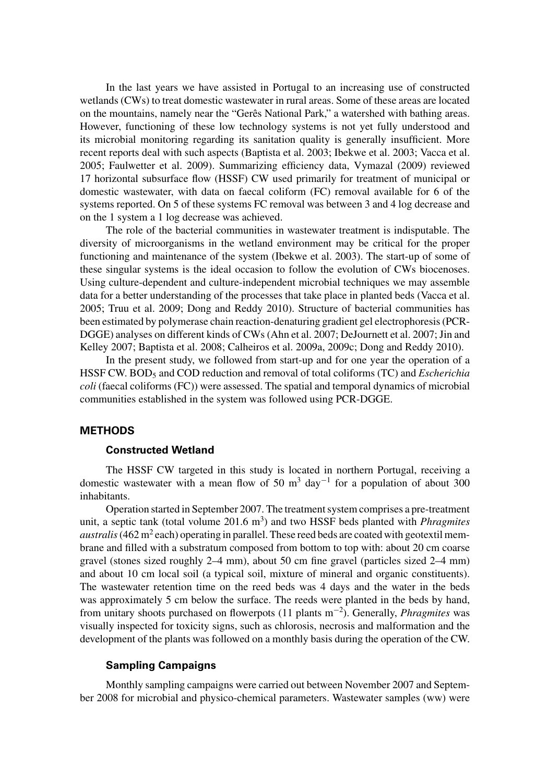In the last years we have assisted in Portugal to an increasing use of constructed wetlands (CWs) to treat domestic wastewater in rural areas. Some of these areas are located on the mountains, namely near the "Gerês National Park," a watershed with bathing areas. However, functioning of these low technology systems is not yet fully understood and its microbial monitoring regarding its sanitation quality is generally insufficient. More recent reports deal with such aspects (Baptista et al. 2003; Ibekwe et al. 2003; Vacca et al. 2005; Faulwetter et al. 2009). Summarizing efficiency data, Vymazal (2009) reviewed 17 horizontal subsurface flow (HSSF) CW used primarily for treatment of municipal or domestic wastewater, with data on faecal coliform (FC) removal available for 6 of the systems reported. On 5 of these systems FC removal was between 3 and 4 log decrease and on the 1 system a 1 log decrease was achieved.

The role of the bacterial communities in wastewater treatment is indisputable. The diversity of microorganisms in the wetland environment may be critical for the proper functioning and maintenance of the system (Ibekwe et al. 2003). The start-up of some of these singular systems is the ideal occasion to follow the evolution of CWs biocenoses. Using culture-dependent and culture-independent microbial techniques we may assemble data for a better understanding of the processes that take place in planted beds (Vacca et al. 2005; Truu et al. 2009; Dong and Reddy 2010). Structure of bacterial communities has been estimated by polymerase chain reaction-denaturing gradient gel electrophoresis (PCR-DGGE) analyses on different kinds of CWs (Ahn et al. 2007; DeJournett et al. 2007; Jin and Kelley 2007; Baptista et al. 2008; Calheiros et al. 2009a, 2009c; Dong and Reddy 2010).

In the present study, we followed from start-up and for one year the operation of a HSSF CW. BOD5 and COD reduction and removal of total coliforms (TC) and *Escherichia coli* (faecal coliforms (FC)) were assessed. The spatial and temporal dynamics of microbial communities established in the system was followed using PCR-DGGE.

## **METHODS**

## **Constructed Wetland**

The HSSF CW targeted in this study is located in northern Portugal, receiving a domestic wastewater with a mean flow of 50 m<sup>3</sup> day<sup>-1</sup> for a population of about 300 inhabitants.

Operation started in September 2007. The treatment system comprises a pre-treatment unit, a septic tank (total volume 201.6 m<sup>3</sup>) and two HSSF beds planted with *Phragmites australis* (462 m<sup>2</sup> each) operating in parallel. These reed beds are coated with geotextil membrane and filled with a substratum composed from bottom to top with: about 20 cm coarse gravel (stones sized roughly 2–4 mm), about 50 cm fine gravel (particles sized 2–4 mm) and about 10 cm local soil (a typical soil, mixture of mineral and organic constituents). The wastewater retention time on the reed beds was 4 days and the water in the beds was approximately 5 cm below the surface. The reeds were planted in the beds by hand, from unitary shoots purchased on flowerpots (11 plants m−<sup>2</sup> ). Generally, *Phragmites* was visually inspected for toxicity signs, such as chlorosis, necrosis and malformation and the development of the plants was followed on a monthly basis during the operation of the CW.

## **Sampling Campaigns**

Monthly sampling campaigns were carried out between November 2007 and September 2008 for microbial and physico-chemical parameters. Wastewater samples (ww) were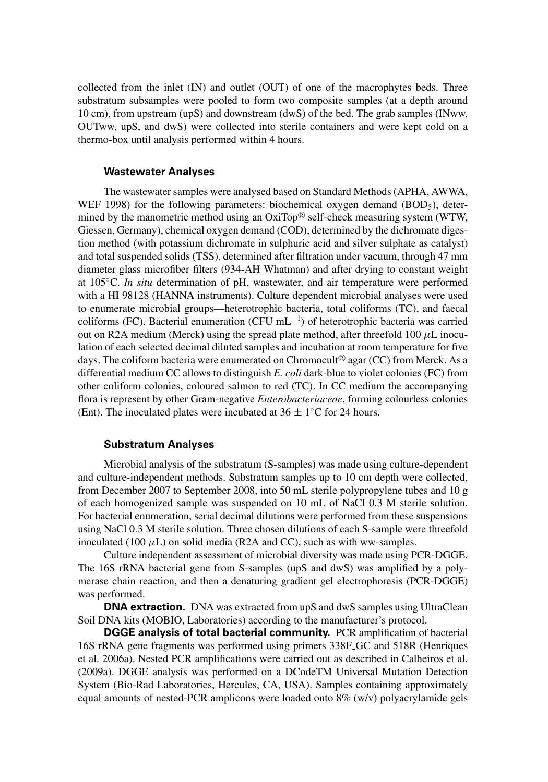collected from the inlet (IN) and outlet (OUT) of one of the macrophytes beds. Three substratum subsamples were pooled to form two composite samples (at a depth around 10 cm), from upstream (upS) and downstream (dwS) of the bed. The grab samples (INww, OUTww, upS, and dwS) were collected into sterile containers and were kept cold on a thermo-box until analysis performed within 4 hours.

### **Wastewater Analyses**

The wastewater samples were analysed based on Standard Methods (APHA, AWWA, WEF 1998) for the following parameters: biochemical oxygen demand  $(BOD<sub>5</sub>)$ , determined by the manometric method using an  $OxiTop^{\circledR}$  self-check measuring system (WTW, Giessen, Germany), chemical oxygen demand (COD), determined by the dichromate digestion method (with potassium dichromate in sulphuric acid and silver sulphate as catalyst) and total suspended solids (TSS), determined after filtration under vacuum, through 47 mm diameter glass microfiber filters (934-AH Whatman) and after drying to constant weight at 105◦C. *In situ* determination of pH, wastewater, and air temperature were performed with a HI 98128 (HANNA instruments). Culture dependent microbial analyses were used to enumerate microbial groups—heterotrophic bacteria, total coliforms (TC), and faecal coliforms (FC). Bacterial enumeration (CFU mL<sup>-1</sup>) of heterotrophic bacteria was carried out on R2A medium (Merck) using the spread plate method, after threefold  $100 \mu L$  inoculation of each selected decimal diluted samples and incubation at room temperature for five days. The coliform bacteria were enumerated on Chromocult<sup>®</sup> agar (CC) from Merck. As a differential medium CC allows to distinguish *E. coli* dark-blue to violet colonies (FC) from other coliform colonies, coloured salmon to red (TC). In CC medium the accompanying flora is represent by other Gram-negative *Enterobacteriaceae*, forming colourless colonies (Ent). The inoculated plates were incubated at  $36 \pm 1$ °C for 24 hours.

## **Substratum Analyses**

Microbial analysis of the substratum (S-samples) was made using culture-dependent and culture-independent methods. Substratum samples up to 10 cm depth were collected, from December 2007 to September 2008, into 50 mL sterile polypropylene tubes and 10 g of each homogenized sample was suspended on 10 mL of NaCl 0.3 M sterile solution. For bacterial enumeration, serial decimal dilutions were performed from these suspensions using NaCl 0.3 M sterile solution. Three chosen dilutions of each S-sample were threefold inoculated (100  $\mu$ L) on solid media (R2A and CC), such as with ww-samples.

Culture independent assessment of microbial diversity was made using PCR-DGGE. The 16S rRNA bacterial gene from S-samples (upS and dwS) was amplified by a polymerase chain reaction, and then a denaturing gradient gel electrophoresis (PCR-DGGE) was performed.

**DNA extraction.** DNA was extracted from upS and dwS samples using UltraClean Soil DNA kits (MOBIO, Laboratories) according to the manufacturer's protocol.

**DGGE analysis of total bacterial community.** PCR amplification of bacterial 16S rRNA gene fragments was performed using primers 338F GC and 518R (Henriques et al. 2006a). Nested PCR amplifications were carried out as described in Calheiros et al. (2009a). DGGE analysis was performed on a DCodeTM Universal Mutation Detection System (Bio-Rad Laboratories, Hercules, CA, USA). Samples containing approximately equal amounts of nested-PCR amplicons were loaded onto 8% (w/v) polyacrylamide gels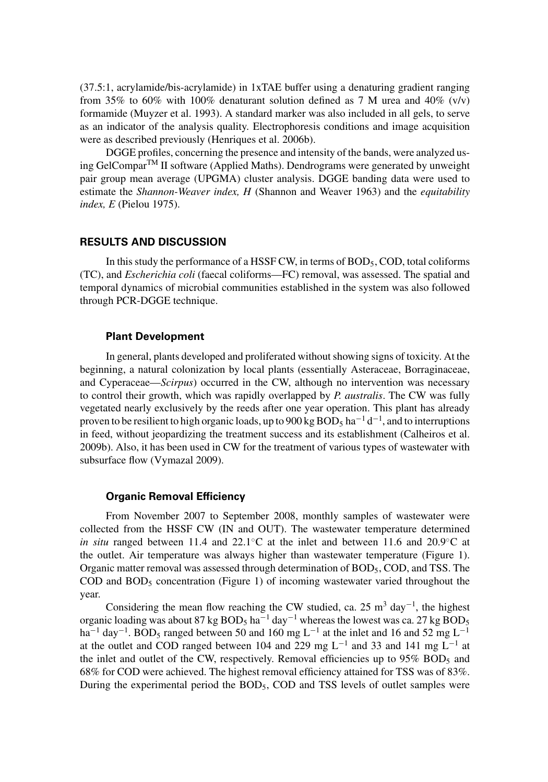(37.5:1, acrylamide/bis-acrylamide) in 1xTAE buffer using a denaturing gradient ranging from 35% to 60% with 100% denaturant solution defined as 7 M urea and 40% (v/v) formamide (Muyzer et al. 1993). A standard marker was also included in all gels, to serve as an indicator of the analysis quality. Electrophoresis conditions and image acquisition were as described previously (Henriques et al. 2006b).

DGGE profiles, concerning the presence and intensity of the bands, were analyzed using GelComparTM II software (Applied Maths). Dendrograms were generated by unweight pair group mean average (UPGMA) cluster analysis. DGGE banding data were used to estimate the *Shannon-Weaver index, H* (Shannon and Weaver 1963) and the *equitability index, E* (Pielou 1975).

## **RESULTS AND DISCUSSION**

In this study the performance of a HSSF CW, in terms of  $BOD<sub>5</sub>$ , COD, total coliforms (TC), and *Escherichia coli* (faecal coliforms—FC) removal, was assessed. The spatial and temporal dynamics of microbial communities established in the system was also followed through PCR-DGGE technique.

### **Plant Development**

In general, plants developed and proliferated without showing signs of toxicity. At the beginning, a natural colonization by local plants (essentially Asteraceae, Borraginaceae, and Cyperaceae—*Scirpus*) occurred in the CW, although no intervention was necessary to control their growth, which was rapidly overlapped by *P. australis*. The CW was fully vegetated nearly exclusively by the reeds after one year operation. This plant has already proven to be resilient to high organic loads, up to 900 kg  $\mathrm{BOD}_5$  ha $^{-1}$  d $^{-1}$ , and to interruptions in feed, without jeopardizing the treatment success and its establishment (Calheiros et al. 2009b). Also, it has been used in CW for the treatment of various types of wastewater with subsurface flow (Vymazal 2009).

## **Organic Removal Efficiency**

From November 2007 to September 2008, monthly samples of wastewater were collected from the HSSF CW (IN and OUT). The wastewater temperature determined *in situ* ranged between 11.4 and 22.1<sup></sup>℃ at the inlet and between 11.6 and 20.9<sup>°</sup>C at the outlet. Air temperature was always higher than wastewater temperature (Figure 1). Organic matter removal was assessed through determination of BOD5, COD, and TSS. The COD and  $BOD<sub>5</sub>$  concentration (Figure 1) of incoming wastewater varied throughout the year.

Considering the mean flow reaching the CW studied, ca. 25 m<sup>3</sup> day<sup>-1</sup>, the highest organic loading was about 87 kg BOD<sub>5</sub> ha<sup> $-1$ </sup> day<sup> $-1$ </sup> whereas the lowest was ca. 27 kg BOD<sub>5</sub> ha<sup>-1</sup> day<sup>-1</sup>. BOD<sub>5</sub> ranged between 50 and 160 mg L<sup>-1</sup> at the inlet and 16 and 52 mg L<sup>-1</sup> at the outlet and COD ranged between 104 and 229 mg L<sup>-1</sup> and 33 and 141 mg L<sup>-1</sup> at the inlet and outlet of the CW, respectively. Removal efficiencies up to  $95\%$  BOD<sub>5</sub> and 68% for COD were achieved. The highest removal efficiency attained for TSS was of 83%. During the experimental period the  $BOD<sub>5</sub>$ , COD and TSS levels of outlet samples were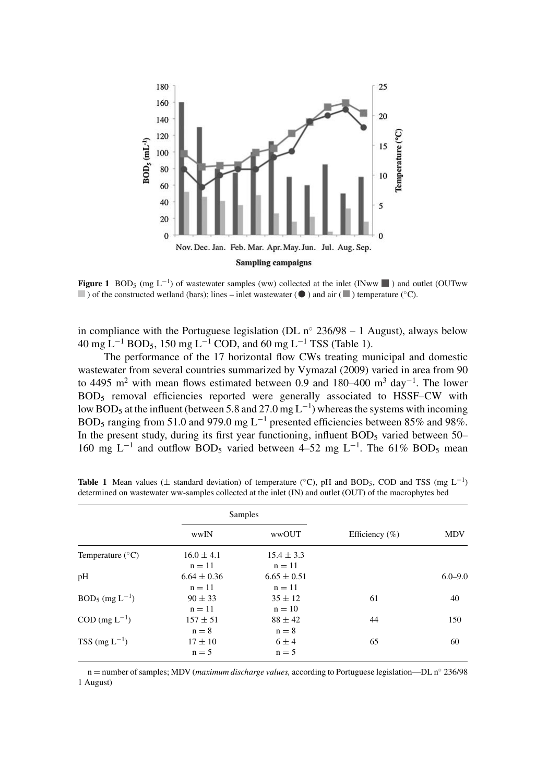

**Figure 1** BOD<sub>5</sub> (mg L<sup>-1</sup>) of wastewater samples (ww) collected at the inlet (INww  $\blacksquare$ ) and outlet (OUTww and observative of the constructed wetland (bars); lines – inlet wastewater ( $\bullet$ ) and air ( $\bullet$ ) temperature (°C).

in compliance with the Portuguese legislation (DL  $n<sup>°</sup>$  236/98 – 1 August), always below 40 mg L<sup>-1</sup> BOD<sub>5</sub>, 150 mg L<sup>-1</sup> COD, and 60 mg L<sup>-1</sup> TSS (Table 1).

The performance of the 17 horizontal flow CWs treating municipal and domestic wastewater from several countries summarized by Vymazal (2009) varied in area from 90 to 4495 m<sup>2</sup> with mean flows estimated between 0.9 and 180–400 m<sup>3</sup> day<sup>-1</sup>. The lower BOD5 removal efficiencies reported were generally associated to HSSF–CW with low BOD<sub>5</sub> at the influent (between 5.8 and 27.0 mg L<sup>-1</sup>) whereas the systems with incoming BOD<sub>5</sub> ranging from 51.0 and 979.0 mg L<sup>-1</sup> presented efficiencies between 85% and 98%. In the present study, during its first year functioning, influent  $BOD<sub>5</sub>$  varied between  $50-$ 160 mg L<sup>-1</sup> and outflow BOD<sub>5</sub> varied between 4–52 mg L<sup>-1</sup>. The 61% BOD<sub>5</sub> mean

|                           | Samples         |                 |                    |             |
|---------------------------|-----------------|-----------------|--------------------|-------------|
|                           | wwIN            | wwOUT           | Efficiency $(\% )$ | <b>MDV</b>  |
| Temperature $(^{\circ}C)$ | $16.0 \pm 4.1$  | $15.4 \pm 3.3$  |                    |             |
|                           | $n = 11$        | $n = 11$        |                    |             |
| pH                        | $6.64 \pm 0.36$ | $6.65 \pm 0.51$ |                    | $6.0 - 9.0$ |
|                           | $n = 11$        | $n = 11$        |                    |             |
| $BOD_5$ (mg $L^{-1}$ )    | $90 \pm 33$     | $35 \pm 12$     | 61                 | 40          |
|                           | $n = 11$        | $n = 10$        |                    |             |
| $COD$ (mg $L^{-1}$ )      | $157 \pm 51$    | $88 \pm 42$     | 44                 | 150         |
|                           | $n = 8$         | $n = 8$         |                    |             |
| $TSS$ (mg $L^{-1}$ )      | $17 \pm 10$     | $6 \pm 4$       | 65                 | 60          |
|                           | $n = 5$         | $n = 5$         |                    |             |

**Table 1** Mean values ( $\pm$  standard deviation) of temperature ( $\degree$ C), pH and BOD<sub>5</sub>, COD and TSS (mg L<sup>-1</sup>) determined on wastewater ww-samples collected at the inlet (IN) and outlet (OUT) of the macrophytes bed

n = number of samples; MDV (*maximum discharge values,* according to Portuguese legislation—DL n◦ 236/98 1 August)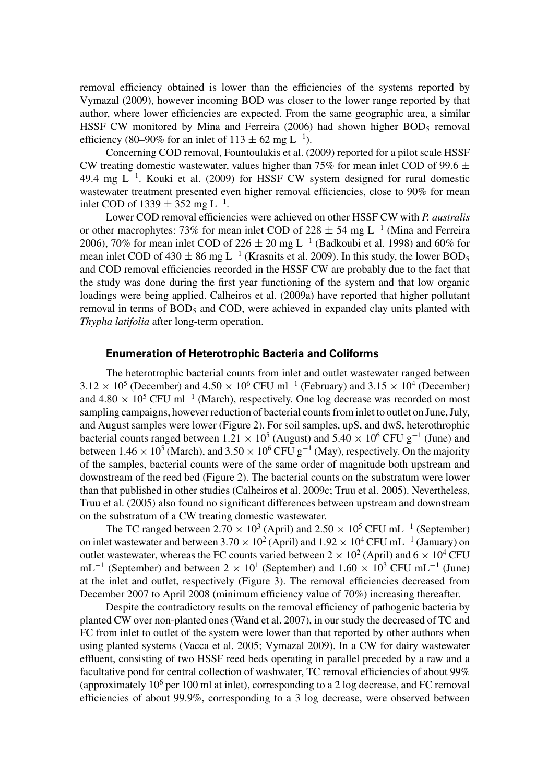removal efficiency obtained is lower than the efficiencies of the systems reported by Vymazal (2009), however incoming BOD was closer to the lower range reported by that author, where lower efficiencies are expected. From the same geographic area, a similar HSSF CW monitored by Mina and Ferreira  $(2006)$  had shown higher BOD<sub>5</sub> removal efficiency (80–90% for an inlet of  $113 \pm 62$  mg L<sup>-1</sup>).

Concerning COD removal, Fountoulakis et al. (2009) reported for a pilot scale HSSF CW treating domestic wastewater, values higher than 75% for mean inlet COD of 99.6  $\pm$ 49.4 mg L−<sup>1</sup> . Kouki et al. (2009) for HSSF CW system designed for rural domestic wastewater treatment presented even higher removal efficiencies, close to 90% for mean inlet COD of  $1339 \pm 352$  mg L<sup>-1</sup>.

Lower COD removal efficiencies were achieved on other HSSF CW with *P. australis* or other macrophytes: 73% for mean inlet COD of 228  $\pm$  54 mg L<sup>-1</sup> (Mina and Ferreira 2006), 70% for mean inlet COD of 226  $\pm$  20 mg L<sup>-1</sup> (Badkoubi et al. 1998) and 60% for mean inlet COD of 430  $\pm$  86 mg L<sup>-1</sup> (Krasnits et al. 2009). In this study, the lower BOD<sub>5</sub> and COD removal efficiencies recorded in the HSSF CW are probably due to the fact that the study was done during the first year functioning of the system and that low organic loadings were being applied. Calheiros et al. (2009a) have reported that higher pollutant removal in terms of  $BOD_5$  and COD, were achieved in expanded clay units planted with *Thypha latifolia* after long-term operation.

# **Enumeration of Heterotrophic Bacteria and Coliforms**

The heterotrophic bacterial counts from inlet and outlet wastewater ranged between  $3.12 \times 10^5$  (December) and  $4.50 \times 10^6$  CFU ml<sup>-1</sup> (February) and  $3.15 \times 10^4$  (December) and 4.80  $\times$  10<sup>5</sup> CFU ml<sup>-1</sup> (March), respectively. One log decrease was recorded on most sampling campaigns, however reduction of bacterial counts from inlet to outlet on June, July, and August samples were lower (Figure 2). For soil samples, upS, and dwS, heterothrophic bacterial counts ranged between  $1.21 \times 10^5$  (August) and  $5.40 \times 10^6$  CFU g<sup>-1</sup> (June) and between 1.46  $\times$  10<sup>5</sup> (March), and 3.50  $\times$  10<sup>6</sup> CFU g<sup>-1</sup> (May), respectively. On the majority of the samples, bacterial counts were of the same order of magnitude both upstream and downstream of the reed bed (Figure 2). The bacterial counts on the substratum were lower than that published in other studies (Calheiros et al. 2009c; Truu et al. 2005). Nevertheless, Truu et al. (2005) also found no significant differences between upstream and downstream on the substratum of a CW treating domestic wastewater.

The TC ranged between  $2.70 \times 10^3$  (April) and  $2.50 \times 10^5$  CFU mL<sup>-1</sup> (September) on inlet wastewater and between  $3.70 \times 10^2$  (April) and  $1.92 \times 10^4$  CFU mL<sup>-1</sup> (January) on outlet wastewater, whereas the FC counts varied between  $2 \times 10^2$  (April) and  $6 \times 10^4$  CFU mL<sup>-1</sup> (September) and between 2 × 10<sup>1</sup> (September) and 1.60 × 10<sup>3</sup> CFU mL<sup>-1</sup> (June) at the inlet and outlet, respectively (Figure 3). The removal efficiencies decreased from December 2007 to April 2008 (minimum efficiency value of 70%) increasing thereafter.

Despite the contradictory results on the removal efficiency of pathogenic bacteria by planted CW over non-planted ones (Wand et al. 2007), in our study the decreased of TC and FC from inlet to outlet of the system were lower than that reported by other authors when using planted systems (Vacca et al. 2005; Vymazal 2009). In a CW for dairy wastewater effluent, consisting of two HSSF reed beds operating in parallel preceded by a raw and a facultative pond for central collection of washwater, TC removal efficiencies of about 99% (approximately  $10^6$  per 100 ml at inlet), corresponding to a 2 log decrease, and FC removal efficiencies of about 99.9%, corresponding to a 3 log decrease, were observed between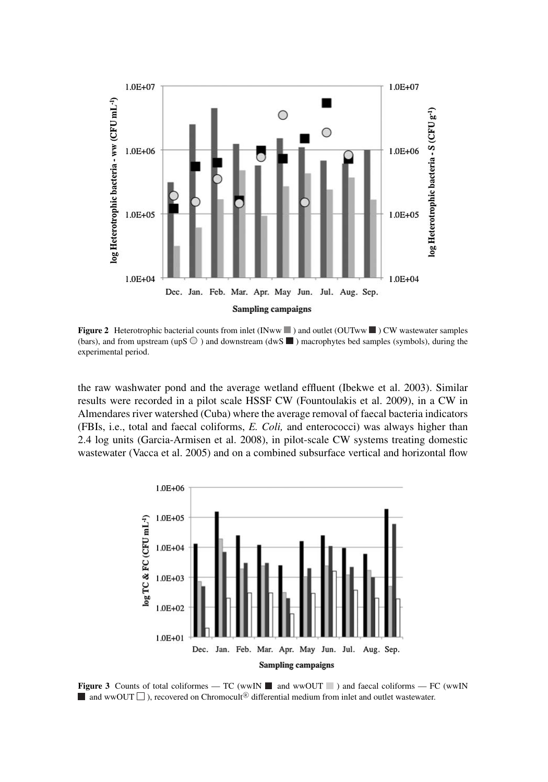

**Figure 2** Heterotrophic bacterial counts from inlet (INww  $\blacksquare$ ) and outlet (OUTww  $\blacksquare$ ) CW wastewater samples (bars), and from upstream (upS  $\odot$  ) and downstream (dwS  $\blacksquare$ ) macrophytes bed samples (symbols), during the experimental period.

the raw washwater pond and the average wetland effluent (Ibekwe et al. 2003). Similar results were recorded in a pilot scale HSSF CW (Fountoulakis et al. 2009), in a CW in Almendares river watershed (Cuba) where the average removal of faecal bacteria indicators (FBIs, i.e., total and faecal coliforms, *E. Coli,* and enterococci) was always higher than 2.4 log units (Garcia-Armisen et al. 2008), in pilot-scale CW systems treating domestic wastewater (Vacca et al. 2005) and on a combined subsurface vertical and horizontal flow



**Figure 3** Counts of total coliformes — TC (wwIN  $\blacksquare$  and wwOUT  $\blacksquare$ ) and faecal coliforms — FC (wwIN  $\blacksquare$  and wwOUT  $\Box$  ), recovered on Chromocult<sup>®</sup> differential medium from inlet and outlet wastewater.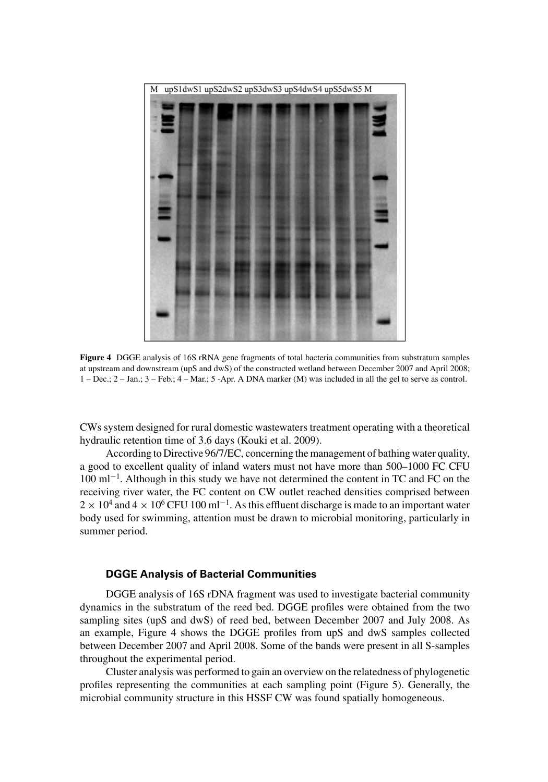

**Figure 4** DGGE analysis of 16S rRNA gene fragments of total bacteria communities from substratum samples at upstream and downstream (upS and dwS) of the constructed wetland between December 2007 and April 2008; 1 – Dec.; 2 – Jan.; 3 – Feb.; 4 – Mar.; 5 -Apr. A DNA marker (M) was included in all the gel to serve as control.

CWs system designed for rural domestic wastewaters treatment operating with a theoretical hydraulic retention time of 3.6 days (Kouki et al. 2009).

According to Directive 96/7/EC, concerning the management of bathing water quality, a good to excellent quality of inland waters must not have more than 500–1000 FC CFU 100 ml−<sup>1</sup> . Although in this study we have not determined the content in TC and FC on the receiving river water, the FC content on CW outlet reached densities comprised between  $2 \times 10^4$  and  $4 \times 10^6$  CFU 100 ml<sup>-1</sup>. As this effluent discharge is made to an important water body used for swimming, attention must be drawn to microbial monitoring, particularly in summer period.

## **DGGE Analysis of Bacterial Communities**

DGGE analysis of 16S rDNA fragment was used to investigate bacterial community dynamics in the substratum of the reed bed. DGGE profiles were obtained from the two sampling sites (upS and dwS) of reed bed, between December 2007 and July 2008. As an example, Figure 4 shows the DGGE profiles from upS and dwS samples collected between December 2007 and April 2008. Some of the bands were present in all S-samples throughout the experimental period.

Cluster analysis was performed to gain an overview on the relatedness of phylogenetic profiles representing the communities at each sampling point (Figure 5). Generally, the microbial community structure in this HSSF CW was found spatially homogeneous.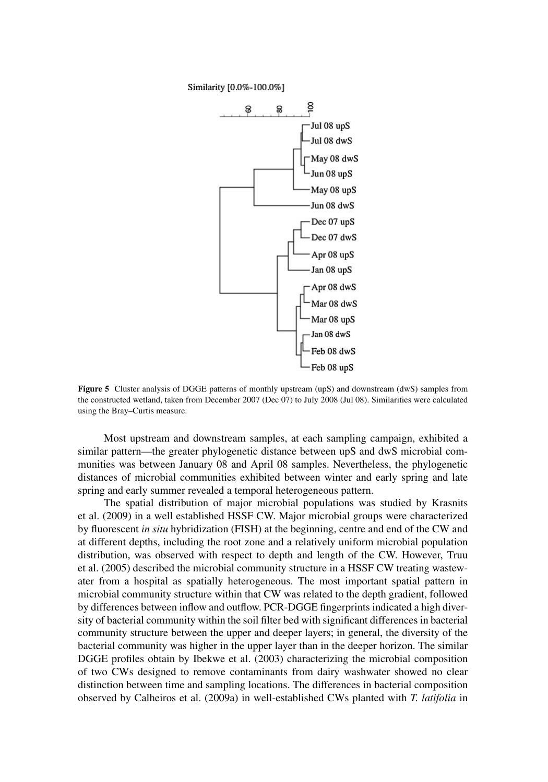

**Figure 5** Cluster analysis of DGGE patterns of monthly upstream (upS) and downstream (dwS) samples from the constructed wetland, taken from December 2007 (Dec 07) to July 2008 (Jul 08). Similarities were calculated using the Bray–Curtis measure.

Most upstream and downstream samples, at each sampling campaign, exhibited a similar pattern—the greater phylogenetic distance between upS and dwS microbial communities was between January 08 and April 08 samples. Nevertheless, the phylogenetic distances of microbial communities exhibited between winter and early spring and late spring and early summer revealed a temporal heterogeneous pattern.

The spatial distribution of major microbial populations was studied by Krasnits et al. (2009) in a well established HSSF CW. Major microbial groups were characterized by fluorescent *in situ* hybridization (FISH) at the beginning, centre and end of the CW and at different depths, including the root zone and a relatively uniform microbial population distribution, was observed with respect to depth and length of the CW. However, Truu et al. (2005) described the microbial community structure in a HSSF CW treating wastewater from a hospital as spatially heterogeneous. The most important spatial pattern in microbial community structure within that CW was related to the depth gradient, followed by differences between inflow and outflow. PCR-DGGE fingerprints indicated a high diversity of bacterial community within the soil filter bed with significant differences in bacterial community structure between the upper and deeper layers; in general, the diversity of the bacterial community was higher in the upper layer than in the deeper horizon. The similar DGGE profiles obtain by Ibekwe et al. (2003) characterizing the microbial composition of two CWs designed to remove contaminants from dairy washwater showed no clear distinction between time and sampling locations. The differences in bacterial composition observed by Calheiros et al. (2009a) in well-established CWs planted with *T. latifolia* in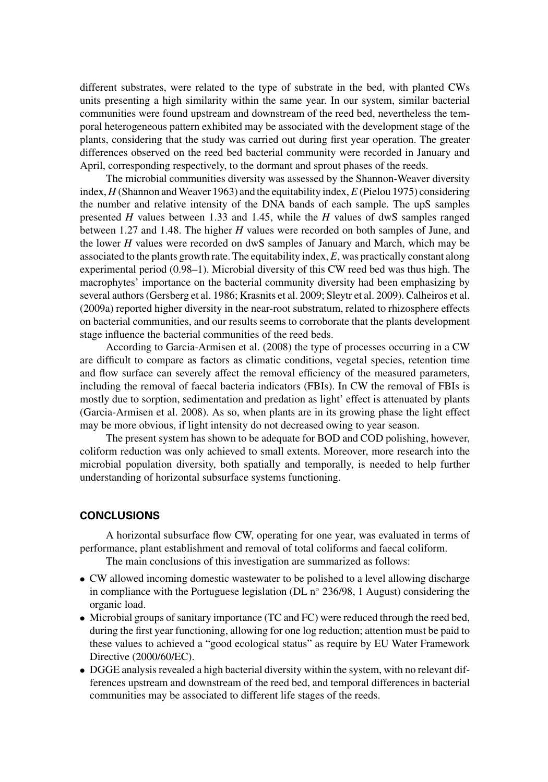different substrates, were related to the type of substrate in the bed, with planted CWs units presenting a high similarity within the same year. In our system, similar bacterial communities were found upstream and downstream of the reed bed, nevertheless the temporal heterogeneous pattern exhibited may be associated with the development stage of the plants, considering that the study was carried out during first year operation. The greater differences observed on the reed bed bacterial community were recorded in January and April, corresponding respectively, to the dormant and sprout phases of the reeds.

The microbial communities diversity was assessed by the Shannon-Weaver diversity index, *H* (Shannon and Weaver 1963) and the equitability index, *E* (Pielou 1975) considering the number and relative intensity of the DNA bands of each sample. The upS samples presented *H* values between 1.33 and 1.45, while the *H* values of dwS samples ranged between 1.27 and 1.48. The higher *H* values were recorded on both samples of June, and the lower *H* values were recorded on dwS samples of January and March, which may be associated to the plants growth rate. The equitability index, *E*, was practically constant along experimental period (0.98–1). Microbial diversity of this CW reed bed was thus high. The macrophytes' importance on the bacterial community diversity had been emphasizing by several authors (Gersberg et al. 1986; Krasnits et al. 2009; Sleytr et al. 2009). Calheiros et al. (2009a) reported higher diversity in the near-root substratum, related to rhizosphere effects on bacterial communities, and our results seems to corroborate that the plants development stage influence the bacterial communities of the reed beds.

According to Garcia-Armisen et al. (2008) the type of processes occurring in a CW are difficult to compare as factors as climatic conditions, vegetal species, retention time and flow surface can severely affect the removal efficiency of the measured parameters, including the removal of faecal bacteria indicators (FBIs). In CW the removal of FBIs is mostly due to sorption, sedimentation and predation as light' effect is attenuated by plants (Garcia-Armisen et al. 2008). As so, when plants are in its growing phase the light effect may be more obvious, if light intensity do not decreased owing to year season.

The present system has shown to be adequate for BOD and COD polishing, however, coliform reduction was only achieved to small extents. Moreover, more research into the microbial population diversity, both spatially and temporally, is needed to help further understanding of horizontal subsurface systems functioning.

### **CONCLUSIONS**

A horizontal subsurface flow CW, operating for one year, was evaluated in terms of performance, plant establishment and removal of total coliforms and faecal coliform.

The main conclusions of this investigation are summarized as follows:

- CW allowed incoming domestic wastewater to be polished to a level allowing discharge in compliance with the Portuguese legislation (DL  $n^{\circ}$  236/98, 1 August) considering the organic load.
- Microbial groups of sanitary importance (TC and FC) were reduced through the reed bed, during the first year functioning, allowing for one log reduction; attention must be paid to these values to achieved a "good ecological status" as require by EU Water Framework Directive (2000/60/EC).
- DGGE analysis revealed a high bacterial diversity within the system, with no relevant differences upstream and downstream of the reed bed, and temporal differences in bacterial communities may be associated to different life stages of the reeds.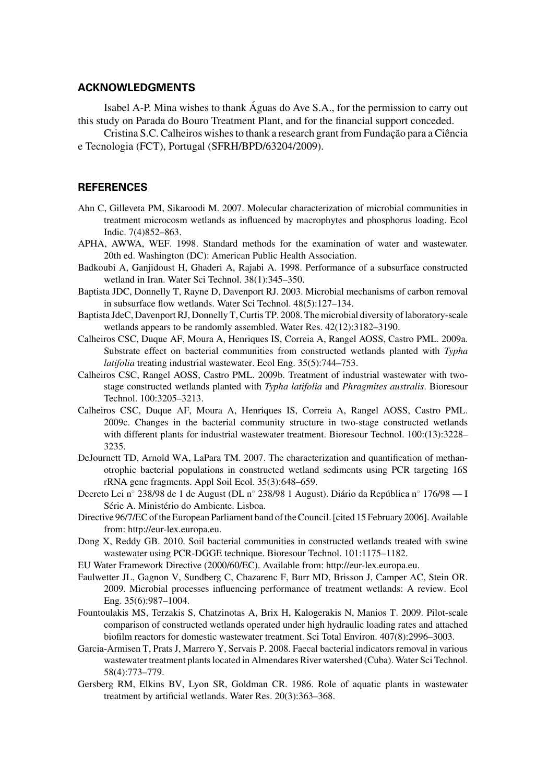# **ACKNOWLEDGMENTS**

Isabel A-P. Mina wishes to thank Aguas do Ave S.A., for the permission to carry out this study on Parada do Bouro Treatment Plant, and for the financial support conceded.

Cristina S.C. Calheiros wishes to thank a research grant from Fundação para a Ciência e Tecnologia (FCT), Portugal (SFRH/BPD/63204/2009).

# **REFERENCES**

- Ahn C, Gilleveta PM, Sikaroodi M. 2007. Molecular characterization of microbial communities in treatment microcosm wetlands as influenced by macrophytes and phosphorus loading. Ecol Indic. 7(4)852–863.
- APHA, AWWA, WEF. 1998. Standard methods for the examination of water and wastewater. 20th ed. Washington (DC): American Public Health Association.
- Badkoubi A, Ganjidoust H, Ghaderi A, Rajabi A. 1998. Performance of a subsurface constructed wetland in Iran. Water Sci Technol. 38(1):345–350.
- Baptista JDC, Donnelly T, Rayne D, Davenport RJ. 2003. Microbial mechanisms of carbon removal in subsurface flow wetlands. Water Sci Technol. 48(5):127–134.
- Baptista JdeC, Davenport RJ, Donnelly T, Curtis TP. 2008. The microbial diversity of laboratory-scale wetlands appears to be randomly assembled. Water Res. 42(12):3182–3190.
- Calheiros CSC, Duque AF, Moura A, Henriques IS, Correia A, Rangel AOSS, Castro PML. 2009a. Substrate effect on bacterial communities from constructed wetlands planted with *Typha latifolia* treating industrial wastewater. Ecol Eng. 35(5):744–753.
- Calheiros CSC, Rangel AOSS, Castro PML. 2009b. Treatment of industrial wastewater with twostage constructed wetlands planted with *Typha latifolia* and *Phragmites australis*. Bioresour Technol. 100:3205–3213.
- Calheiros CSC, Duque AF, Moura A, Henriques IS, Correia A, Rangel AOSS, Castro PML. 2009c. Changes in the bacterial community structure in two-stage constructed wetlands with different plants for industrial wastewater treatment. Bioresour Technol. 100:(13):3228– 3235.
- DeJournett TD, Arnold WA, LaPara TM. 2007. The characterization and quantification of methanotrophic bacterial populations in constructed wetland sediments using PCR targeting 16S rRNA gene fragments. Appl Soil Ecol. 35(3):648–659.
- Decreto Lei n° 238/98 de 1 de August (DL n° 238/98 1 August). Diário da República n° 176/98 I Série A. Ministério do Ambiente. Lisboa.
- Directive 96/7/EC of the European Parliament band of the Council. [cited 15 February 2006]. Available from: http://eur-lex.europa.eu.
- Dong X, Reddy GB. 2010. Soil bacterial communities in constructed wetlands treated with swine wastewater using PCR-DGGE technique. Bioresour Technol. 101:1175–1182.
- EU Water Framework Directive (2000/60/EC). Available from: http://eur-lex.europa.eu.
- Faulwetter JL, Gagnon V, Sundberg C, Chazarenc F, Burr MD, Brisson J, Camper AC, Stein OR. 2009. Microbial processes influencing performance of treatment wetlands: A review. Ecol Eng. 35(6):987–1004.
- Fountoulakis MS, Terzakis S, Chatzinotas A, Brix H, Kalogerakis N, Manios T. 2009. Pilot-scale comparison of constructed wetlands operated under high hydraulic loading rates and attached biofilm reactors for domestic wastewater treatment. Sci Total Environ. 407(8):2996–3003.
- Garcia-Armisen T, Prats J, Marrero Y, Servais P. 2008. Faecal bacterial indicators removal in various wastewater treatment plants located in Almendares River watershed (Cuba). Water Sci Technol. 58(4):773–779.
- Gersberg RM, Elkins BV, Lyon SR, Goldman CR. 1986. Role of aquatic plants in wastewater treatment by artificial wetlands. Water Res. 20(3):363–368.